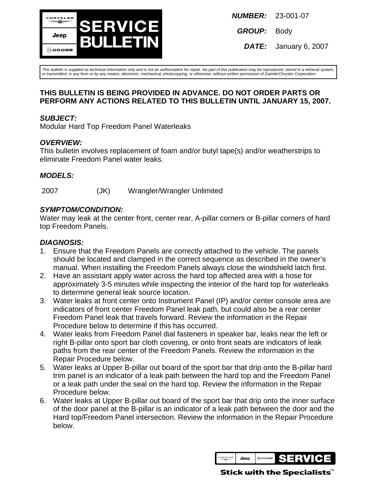

**GROUP:** Body

**DATE:** January 6, 2007

This bulletin is supplied as technical information only and is not an authorization for repair. No part of this publication may be reproduced, stored in a retrieval system, or transmitted, in any form or by any means, electronic, mechanical, photocopying, or otherwise, without written permission of DaimlerChrysler Corporation.

#### **THIS BULLETIN IS BEING PROVIDED IN ADVANCE. DO NOT ORDER PARTS OR PERFORM ANY ACTIONS RELATED TO THIS BULLETIN UNTIL JANUARY 15, 2007.**

#### **SUBJECT:**

Modular Hard Top Freedom Panel Waterleaks

#### **OVERVIEW:**

This bulletin involves replacement of foam and/or butyl tape(s) and/or weatherstrips to eliminate Freedom Panel water leaks.

### **MODELS:**

2007 (JK) Wrangler/Wrangler Unlimited

### **SYMPTOM/CONDITION:**

Water may leak at the center front, center rear, A-pillar corners or B-pillar corners of hard top Freedom Panels.

### **DIAGNOSIS:**

- 1. Ensure that the Freedom Panels are correctly attached to the vehicle. The panels should be located and clamped in the correct sequence as described in the owner's manual. When installing the Freedom Panels always close the windshield latch first.
- 2. Have an assistant apply water across the hard top affected area with a hose for approximately 3-5 minutes while inspecting the interior of the hard top for waterleaks to determine general leak source location.
- 3. Water leaks at front center onto Instrument Panel (IP) and/or center console area are indicators of front center Freedom Panel leak path, but could also be a rear center Freedom Panel leak that travels forward. Review the information in the Repair Procedure below to determine if this has occurred.
- 4. Water leaks from Freedom Panel dial fasteners in speaker bar, leaks near the left or right B-pillar onto sport bar cloth covering, or onto front seats are indicators of leak paths from the rear center of the Freedom Panels. Review the information in the Repair Procedure below.
- 5. Water leaks at Upper B-pillar out board of the sport bar that drip onto the B-pillar hard trim panel is an indicator of a leak path between the hard top and the Freedom Panel or a leak path under the seal on the hard top. Review the information in the Repair Procedure below.
- 6. Water leaks at Upper B-pillar out board of the sport bar that drip onto the inner surface of the door panel at the B-pillar is an indicator of a leak path between the door and the Hard top/Freedom Panel intersection. Review the information in the Repair Procedure below.

**HRYSLE** Jeep **@DODGE** 

Stick with the Specialists $\check{\ }$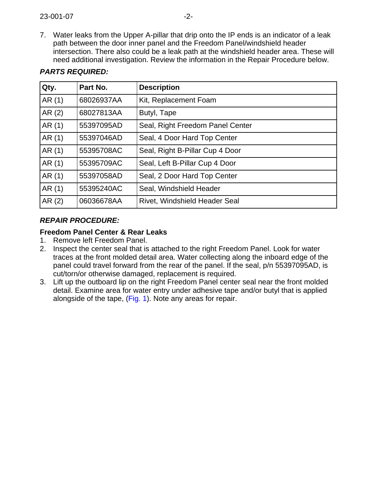7. Water leaks from the Upper A-pillar that drip onto the IP ends is an indicator of a leak path between the door inner panel and the Freedom Panel/windshield header intersection. There also could be a leak path at the windshield header area. These will need additional investigation. Review the information in the Repair Procedure below.

| Qty.  | Part No.   | <b>Description</b>               |
|-------|------------|----------------------------------|
| AR(1) | 68026937AA | Kit, Replacement Foam            |
| AR(2) | 68027813AA | Butyl, Tape                      |
| AR(1) | 55397095AD | Seal, Right Freedom Panel Center |
| AR(1) | 55397046AD | Seal, 4 Door Hard Top Center     |
| AR(1) | 55395708AC | Seal, Right B-Pillar Cup 4 Door  |
| AR(1) | 55395709AC | Seal, Left B-Pillar Cup 4 Door   |
| AR(1) | 55397058AD | Seal, 2 Door Hard Top Center     |
| AR(1) | 55395240AC | Seal, Windshield Header          |
| AR(2) | 06036678AA | Rivet, Windshield Header Seal    |

# **PARTS REQUIRED:**

# **REPAIR PROCEDURE:**

#### **Freedom Panel Center & Rear Leaks**

- 1. Remove left Freedom Panel.
- 2. Inspect the center seal that is attached to the right Freedom Panel. Look for water traces at the front molded detail area. Water collecting along the inboard edge of the panel could travel forward from the rear of the panel. If the seal, p/n 55397095AD, is cut/torn/or otherwise damaged, replacement is required.
- 3. Lift up the outboard lip on the right Freedom Panel center seal near the front molded detail. Examine area for water entry under adhesive tape and/or butyl that is applied alongside of the tape[, \(Fig. 1](#page-2-0)). Note any areas for repair.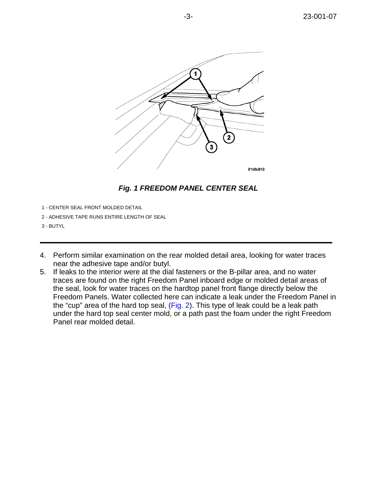<span id="page-2-0"></span>





- 1 CENTER SEAL FRONT MOLDED DETAIL
- 2 ADHESIVE TAPE RUNS ENTIRE LENGTH OF SEAL
- 3 BUTYL
- 4. Perform similar examination on the rear molded detail area, looking for water traces near the adhesive tape and/or butyl.
- 5. If leaks to the interior were at the dial fasteners or the B-pillar area, and no water traces are found on the right Freedom Panel inboard edge or molded detail areas of the seal, look for water traces on the hardtop panel front flange directly below the Freedom Panels. Water collected here can indicate a leak under the Freedom Panel in the "cup" area of the hard top seal, [\(Fig. 2\)](#page-3-0). This type of leak could be a leak path under the hard top seal center mold, or a path past the foam under the right Freedom Panel rear molded detail.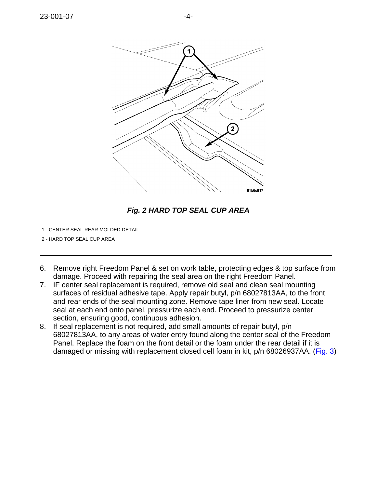<span id="page-3-0"></span>

# **Fig. 2 HARD TOP SEAL CUP AREA**

- 1 CENTER SEAL REAR MOLDED DETAIL
- 2 HARD TOP SEAL CUP AREA
- 6. Remove right Freedom Panel & set on work table, protecting edges & top surface from damage. Proceed with repairing the seal area on the right Freedom Panel.
- 7. IF center seal replacement is required, remove old seal and clean seal mounting surfaces of residual adhesive tape. Apply repair butyl, p/n 68027813AA, to the front and rear ends of the seal mounting zone. Remove tape liner from new seal. Locate seal at each end onto panel, pressurize each end. Proceed to pressurize center section, ensuring good, continuous adhesion.
- 8. If seal replacement is not required, add small amounts of repair butyl, p/n 68027813AA, to any areas of water entry found along the center seal of the Freedom Panel. Replace the foam on the front detail or the foam under the rear detail if it is damaged or missing with replacement closed cell foam in kit, p/n 68026937AA[. \(Fig. 3\)](#page-4-0)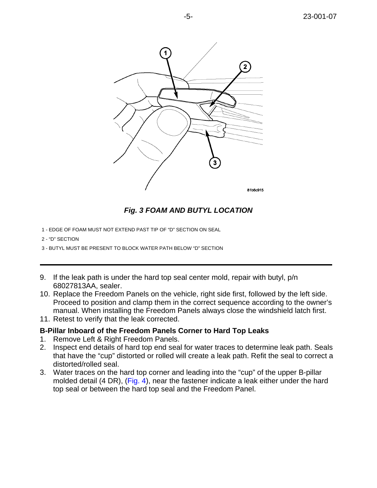<span id="page-4-0"></span>

#### **Fig. 3 FOAM AND BUTYL LOCATION**

- 1 EDGE OF FOAM MUST NOT EXTEND PAST TIP OF "D" SECTION ON SEAL
- 2 "D" SECTION
- 3 BUTYL MUST BE PRESENT TO BLOCK WATER PATH BELOW "D" SECTION
- 9. If the leak path is under the hard top seal center mold, repair with butyl, p/n 68027813AA, sealer.
- 10. Replace the Freedom Panels on the vehicle, right side first, followed by the left side. Proceed to position and clamp them in the correct sequence according to the owner's manual. When installing the Freedom Panels always close the windshield latch first.
- 11. Retest to verify that the leak corrected.

#### **B-Pillar Inboard of the Freedom Panels Corner to Hard Top Leaks**

- 1. Remove Left & Right Freedom Panels.
- 2. Inspect end details of hard top end seal for water traces to determine leak path. Seals that have the "cup" distorted or rolled will create a leak path. Refit the seal to correct a distorted/rolled seal.
- 3. Water traces on the hard top corner and leading into the "cup" of the upper B-pillar molded detail (4 DR), [\(Fig. 4](#page-5-0)), near the fastener indicate a leak either under the hard top seal or between the hard top seal and the Freedom Panel.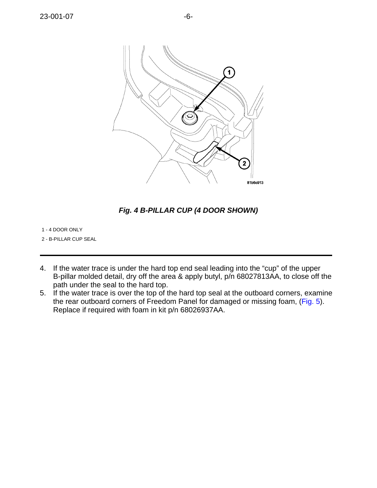<span id="page-5-0"></span>

**Fig. 4 B-PILLAR CUP (4 DOOR SHOWN)**

1 - 4 DOOR ONLY

2 - B-PILLAR CUP SEAL

- 4. If the water trace is under the hard top end seal leading into the "cup" of the upper B-pillar molded detail, dry off the area & apply butyl, p/n 68027813AA, to close off the path under the seal to the hard top.
- 5. If the water trace is over the top of the hard top seal at the outboard corners, examine the rear outboard corners of Freedom Panel for damaged or missing foam, [\(Fig. 5\)](#page-6-0). Replace if required with foam in kit p/n 68026937AA.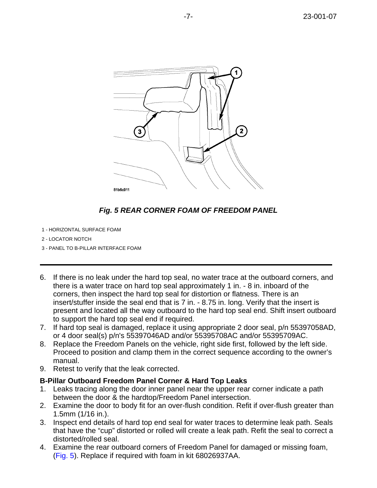<span id="page-6-0"></span>

# **Fig. 5 REAR CORNER FOAM OF FREEDOM PANEL**

- 1 HORIZONTAL SURFACE FOAM
- 2 LOCATOR NOTCH
- 3 PANEL TO B-PILLAR INTERFACE FOAM
- 6. If there is no leak under the hard top seal, no water trace at the outboard corners, and there is a water trace on hard top seal approximately 1 in. - 8 in. inboard of the corners, then inspect the hard top seal for distortion or flatness. There is an insert/stuffer inside the seal end that is 7 in. - 8.75 in. long. Verify that the insert is present and located all the way outboard to the hard top seal end. Shift insert outboard to support the hard top seal end if required.
- 7. If hard top seal is damaged, replace it using appropriate 2 door seal, p/n 55397058AD, or 4 door seal(s) p/n's 55397046AD and/or 55395708AC and/or 55395709AC.
- 8. Replace the Freedom Panels on the vehicle, right side first, followed by the left side. Proceed to position and clamp them in the correct sequence according to the owner's manual.
- 9. Retest to verify that the leak corrected.

#### **B-Pillar Outboard Freedom Panel Corner & Hard Top Leaks**

- 1. Leaks tracing along the door inner panel near the upper rear corner indicate a path between the door & the hardtop/Freedom Panel intersection.
- 2. Examine the door to body fit for an over-flush condition. Refit if over-flush greater than 1.5mm (1/16 in.).
- 3. Inspect end details of hard top end seal for water traces to determine leak path. Seals that have the "cup" distorted or rolled will create a leak path. Refit the seal to correct a distorted/rolled seal.
- 4. Examine the rear outboard corners of Freedom Panel for damaged or missing foam, [\(Fig. 5](#page-6-0)). Replace if required with foam in kit 68026937AA.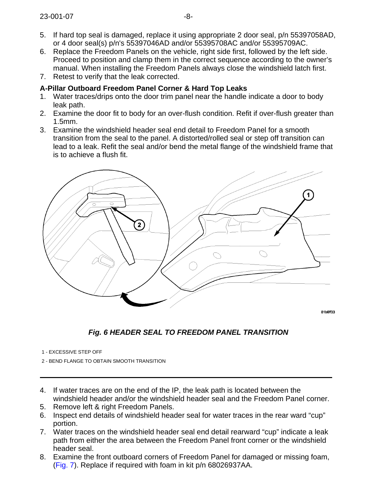- 5. If hard top seal is damaged, replace it using appropriate 2 door seal, p/n 55397058AD, or 4 door seal(s) p/n's 55397046AD and/or 55395708AC and/or 55395709AC.
- 6. Replace the Freedom Panels on the vehicle, right side first, followed by the left side. Proceed to position and clamp them in the correct sequence according to the owner's manual. When installing the Freedom Panels always close the windshield latch first.
- 7. Retest to verify that the leak corrected.

# **A-Pillar Outboard Freedom Panel Corner & Hard Top Leaks**

- 1. Water traces/drips onto the door trim panel near the handle indicate a door to body leak path.
- 2. Examine the door fit to body for an over-flush condition. Refit if over-flush greater than 1.5mm.
- 3. Examine the windshield header seal end detail to Freedom Panel for a smooth transition from the seal to the panel. A distorted/rolled seal or step off transition can lead to a leak. Refit the seal and/or bend the metal flange of the windshield frame that is to achieve a flush fit.



**Fig. 6 HEADER SEAL TO FREEDOM PANEL TRANSITION**

- 1 EXCESSIVE STEP OFF
- 2 BEND FLANGE TO OBTAIN SMOOTH TRANSITION
- 4. If water traces are on the end of the IP, the leak path is located between the windshield header and/or the windshield header seal and the Freedom Panel corner.
- 5. Remove left & right Freedom Panels.
- 6. Inspect end details of windshield header seal for water traces in the rear ward "cup" portion.
- 7. Water traces on the windshield header seal end detail rearward "cup" indicate a leak path from either the area between the Freedom Panel front corner or the windshield header seal.
- 8. Examine the front outboard corners of Freedom Panel for damaged or missing foam, [\(Fig. 7](#page-8-0)). Replace if required with foam in kit p/n 68026937AA.